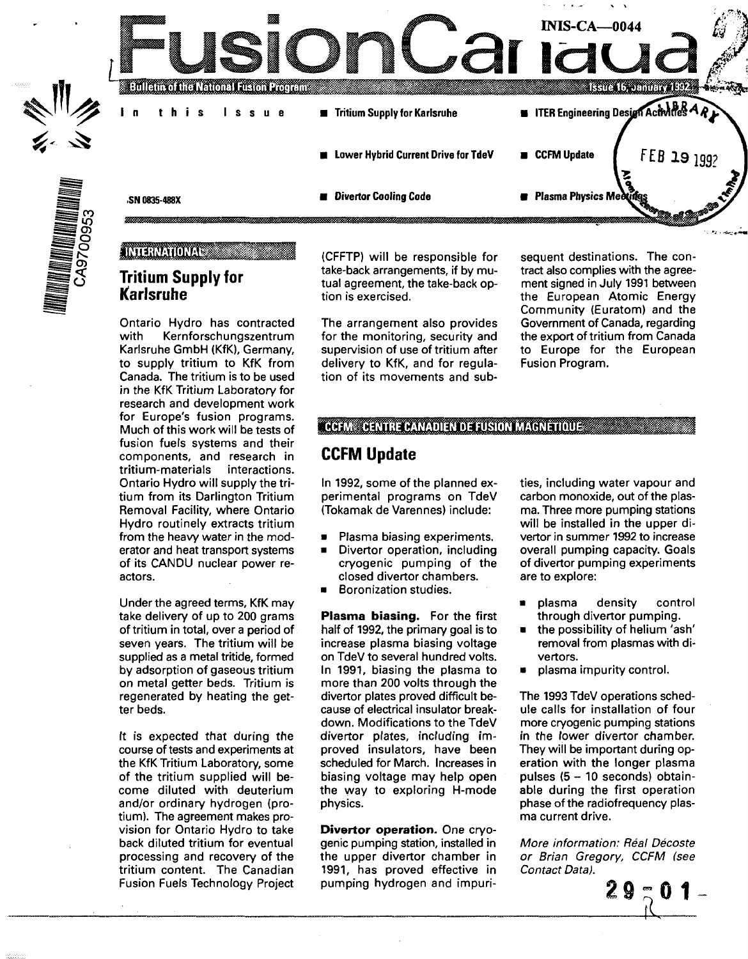

### INTERNATIONAL

## **Tritium Supply for Karlsruhe**

Ontario Hydro has contracted<br>with Kernforschungszentrum Kernforschungszentrum Karlsruhe GmbH (KfK), Germany, to supply tritium to KfK from Canada. The tritium is to be used in the KfK Tritium Laboratory for research and development work for Europe's fusion programs. Much of this work will be tests of fusion fuels systems and their components, and research in tritium-materials interactions. Ontario Hydro will supply the tritium from its Darlington Tritium Removal Facility, where Ontario Hydro routinely extracts tritium from the heavy water in the moderator and heat transport systems of its CANDU nuclear power reactors.

Under the agreed terms, KfK may take delivery of up to 200 grams of tritium in total, over a period of seven years. The tritium will be supplied as a metal tritide, formed by adsorption of gaseous tritium on metal getter beds. Tritium is regenerated by heating the getter beds.

It is expected that during the course of tests and experiments at the KfK Tritium Laboratory, some of the tritium supplied will become diluted with deuterium and/or ordinary hydrogen (protium). The agreement makes provision for Ontario Hydro to take back diluted tritium for eventual processing and recovery of the tritium content. The Canadian Fusion Fuels Technology Project (CFFTP) will be responsible for take-back arrangements, if by mutual agreement, the take-back option is exercised.

The arrangement also provides for the monitoring, security and supervision of use of tritium after delivery to KfK, and for regulation of its movements and sub-

sequent destinations. The contract also complies with the agreement signed in July 1991 between the European Atomic Energy Community (Euratom) and the Government of Canada, regarding the export of tritium from Canada to Europe for the European Fusion Program.

### **CCFM CENTRE CANADIEN DE FUSION MAGNETIQUE**

### **CCFM Update**

In 1992, some of the planned experimental programs on TdeV (Tokamak de Varennes) include:

- Plasma biasing experiments.
- Divertor operation, including cryogenic pumping of the closed divertor chambers.
- Boronization studies.

**Plasma biasing.** For the first half of 1992, the primary goal is to increase plasma biasing voltage on TdeV to several hundred volts. In 1991, biasing the plasma to more than 200 volts through the divertor plates proved difficult because of electrical insulator breakdown. Modifications to the TdeV divertor plates, including improved insulators, have been scheduled for March. Increases in biasing voltage may help open the way to exploring H-mode physics.

**Divertor operation.** One cryogenic pumping station, installed in the upper divertor chamber in 1991, has proved effective in pumping hydrogen and impurities, including water vapour and carbon monoxide, out of the plasma. Three more pumping stations will be installed in the upper divertor in summer 1992 to increase overall pumping capacity. Goals of divertor pumping experiments are to explore:

- plasma density control through divertor pumping.
- the possibility of helium 'ash' removal from plasmas with divertors.
- plasma impurity control.

The 1993 TdeV operations schedule calls for installation of four more cryogenic pumping stations in the lower divertor chamber. They will be important during operation with the longer plasma pulses (5-10 seconds) obtainable during the first operation phase of the radiofrequency plasma current drive.

More information: Réal Décoste or Brian Gregory, CCFM (see Contact Data).

2 g

**1**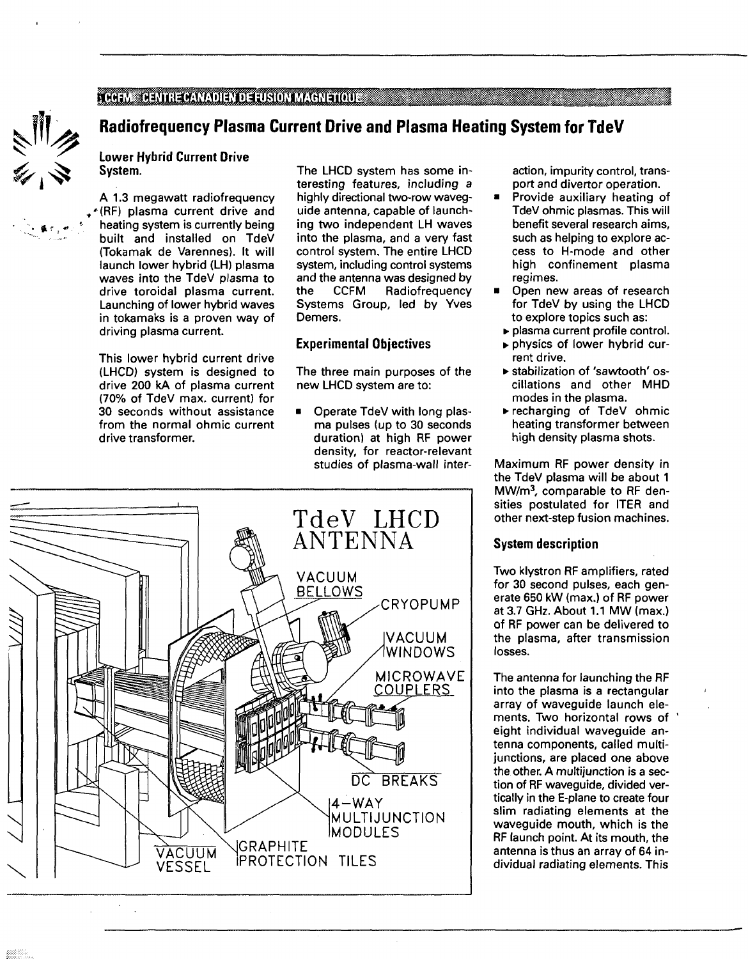#### **ACGEM DENTRE CANADIEN DE FUSION MAGNETIQUE ACCEPTANCIE DE L'ACCEPTANCIE DE L'ACCEPTANCIE DE L'ACCEPTANCIE DE L'ACCEPTANCIE DE L'ACCEPTANCIE DE L'ACCEPTANCIE DE L'ACCEPTANCIE DE L'ACCEPTANCIE DE L'ACCEPTANCIE DE L'ACCEPTAN**



 $\bullet$   $\bullet$   $\bullet$   $\bullet$   $\bullet$   $\bullet$ 

## **Radiofrequency Plasma Current Drive and Plasma Heating System for TdeV**

**Lower Hybrid Current Drive System.**

**A** 1.3 megawatt radiofrequency '(RF) plasma current drive and heating system is currently being built and installed on TdeV (Tokamak de Varennes). It will launch lower hybrid (LH) plasma waves into the TdeV plasma to drive toroidal plasma current. Launching of lower hybrid waves in tokamaks is a proven way of driving plasma current.

This lower hybrid current drive (LHCD) system is designed to drive 200 kA of plasma current (70% of TdeV max. current) for 30 seconds without assistance from the normal ohmic current drive transformer.

The LHCD system has some interesting features, including a highly directional two-row waveguide antenna, capable of launching two independent LH waves into the plasma, and a very fast control system. The entire LHCD system, including control systems and the antenna was designed by the CCFM Radiofrequency Systems Group, led by Yves Demers.

### Experimental Objectives

The three main purposes of the new LHCD system are to:

• Operate TdeV with long plasma pulses (up to 30 seconds duration) at high RF power density, for reactor-relevant studies of plasma-wall inter-



action, impurity control, transport and divertor operation.

- **•** Provide auxiliary heating of TdeV ohmic plasmas. This will benefit several research aims, such as helping to explore access to H-mode and other high confinement plasma regimes.
- Open new areas of research for TdeV by using the LHCD to explore topics such as:
	- plasma current profile control.
	- physics of lower hybrid current drive.
	- stabilization of 'sawtooth' oscillations and other MHD modes in the plasma.
	- recharging of TdeV ohmic heating transformer between high density plasma shots.

Maximum RF power density in the TdeV plasma will be about 1 MW/m<sup>3</sup>, comparable to RF densities postulated for ITER and other next-step fusion machines.

#### **System description**

Two klystron RF amplifiers, rated for 30 second pulses, each generate 650 kW (max.) of RF power at 3.7 GHz. About 1.1 MW (max.) of RF power can be delivered to the plasma, after transmission losses.

The antenna for launching the RF into the plasma is a rectangular array of waveguide launch elements. Two horizontal rows of eight individual waveguide antenna components, called multijunctions, are placed one above the other. A multijunction is a section of RF waveguide, divided vertically in the E-plane to create four slim radiating elements at the waveguide mouth, which is the RF launch point. At its mouth, the antenna is thus an array of 64 individual radiating elements. This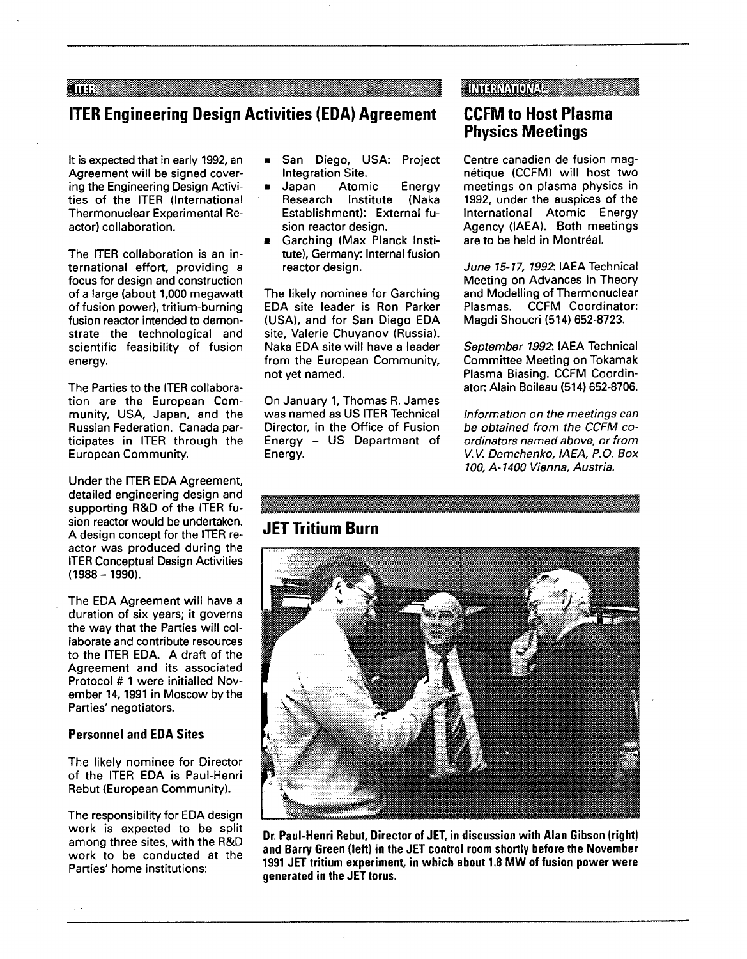an an an S

### **ARTISTATIONAL**

## **ITER Engineering Design Activities (EDA) Agreement**

It is expected that in early 1992, an Agreement will be signed covering the Engineering Design Activities of the ITER (International Thermonuclear Experimental Reactor) collaboration.

The ITER collaboration is an international effort, providing a focus for design and construction of a large (about 1,000 megawatt of fusion power), tritium-burning fusion reactor intended to demonstrate the technological and scientific feasibility of fusion energy.

The Parties to the ITER collaboration are the European Community, USA, Japan, and the Russian Federation. Canada participates in ITER through the European Community.

Under the ITER EDA Agreement, detailed engineering design and supporting R&D of the ITER fusion reactor would be undertaken. A design concept for the ITER reactor was produced during the ITER Conceptual Design Activities (1988-1990).

The EDA Agreement will have a duration of six years; it governs the way that the Parties will collaborate and contribute resources to the ITER EDA. A draft of the Agreement and its associated Protocol # 1 were initialled November 14,1991 in Moscow by the Parties' negotiators.

#### **Personnel and EDA Sites**

The likely nominee for Director of the ITER EDA is Paul-Henri Rebut (European Community).

The responsibility for EDA design work is expected to be split among three sites, with the R&D work to be conducted at the Parties' home institutions:

- San Diego, USA: Project Integration Site.<br>Japan Atom
- **B** Japan Atomic Energy Research Institute (Naka Establishment): External fusion reactor design.
- Garching (Max Planck Institute), Germany: Internal fusion reactor design.

The likely nominee for Garching EDA site leader is Ron Parker (USA), and for San Diego EDA site, Valerie Chuyanov (Russia). Naka EDA site will have a leader from the European Community, not yet named.

On January 1, Thomas R. James was named as US ITER Technical Director, in the Office of Fusion Energy - US Department of Energy.

## **CCFM to Host Plasma Physics Meetings**

Centre canadien de fusion magnétique (CCFM) will host two meetings on plasma physics in 1992, under the auspices of the International Atomic Energy Agency (IAEA). Both meetings are to be held in Montréal.

June 15-17, 1992. IAEA Technical Meeting on Advances in Theory and Modelling of Thermonuclear Plasmas. CCFM Coordinator: Magdi Shoucri (514) 652-8723.

September 1992. IAEA Technical Committee Meeting on Tokamak Plasma Biasing. CCFM Coordinator: Alain Boileau (514) 652-8706.

Information on the meetings can be obtained from the CCFM coordinators named above, or from V.V. Demchenko, IAEA, P.O. Box 100, A-1400 Vienna, Austria.

# **JET Tritium Burn**



**Dr. Paul-Henri Rebut, Director of JET, in discussion with Alan Gibson (right) and Barry Green (left) in the JET control room shortly before the November 1991 JET tritium experiment, in which about 1.8 MW of fusion power were generated in the JET torus.**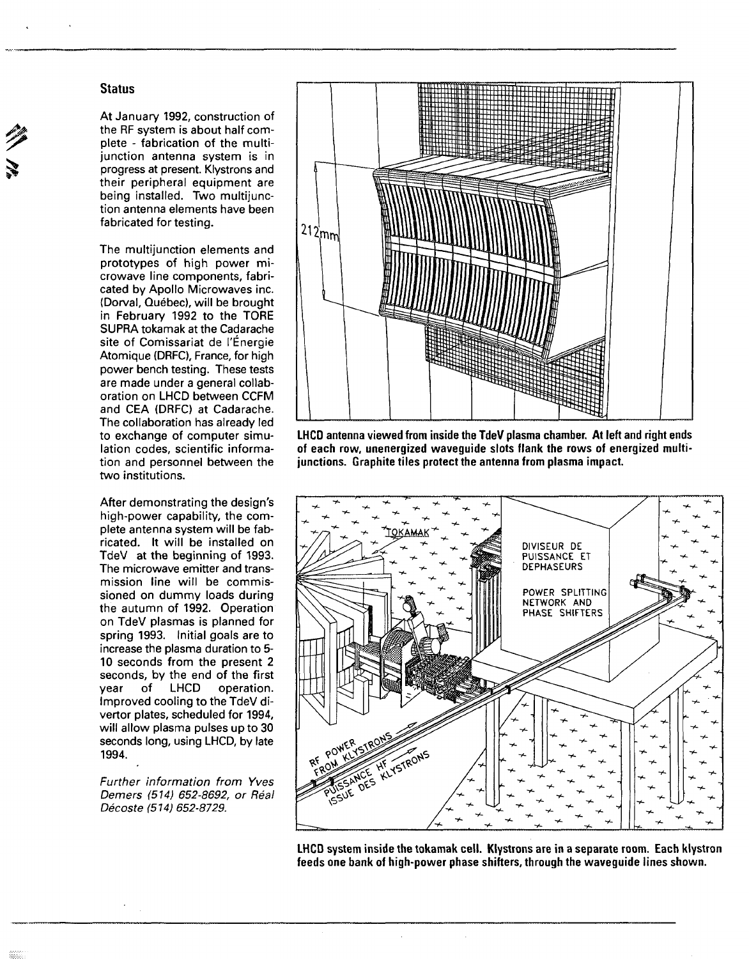#### **Status**

At January 1992, construction of the RF system is about half complete - fabrication of the multijunction antenna system is in progress at present. Klystrons and their peripheral equipment are being installed. Two multijunction antenna elements have been fabricated for testing.

The multijunction elements and prototypes of high power microwave line components, fabricated by Apollo Microwaves inc. (Dorval, Québec), will be brought in February 1992 to the TORE SUPRA tokamak at the Cadarache site of Comissariat de l'Énergie Atomique (DRFC), France, for high power bench testing. These tests are made under a general collaboration on LHCD between CCFM and CEA (DRFC) at Cadarache. The collaboration has already led to exchange of computer simulation codes, scientific information and personnel between the two institutions.

After demonstrating the design's high-power capability, the complete antenna system will be fabricated. It will be installed on TdeV at the beginning of 1993. The microwave emitter and transmission line will be commissioned on dummy loads during the autumn of 1992. Operation on TdeV plasmas is planned for spring 1993. Initial goals are to increase the plasma duration to 5- 10 seconds from the present 2 seconds, by the end of the first year of LHCD operation. Improved cooling to the TdeV divertor plates, scheduled for 1994, will allow plasma pulses up to 30 seconds long, using LHCD, by late 1994.

Further information from Yves Demers (514) 652-8692, or Real Décoste (514) 652-8729.



**LHCD antenna viewed from inside the TdeV plasma chamber. At left and right ends of each row, unenergized waveguide slots flank the rows of energized multijunctions. Graphite tiles protect the antenna from plasma impact.**



**LHCD system inside the tokamak cell. Klystrons are in a separate room. Each klystron feeds one bank of high-power phase shifters, through the waveguide lines shown.**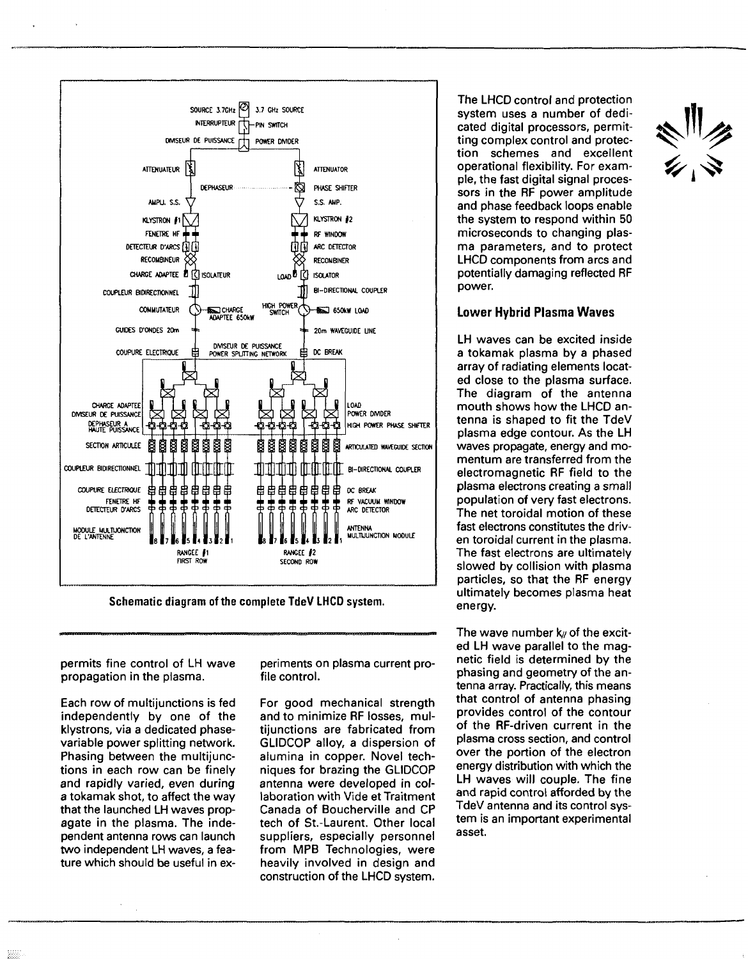

Schematic diagram of the complete **TdeV LHCD** system.

permits fine control of LH wave propagation in the plasma.

Each row of multijunctions is fed independently by one of the klystrons, via a dedicated phasevariable power splitting network. Phasing between the multijunctions in each row can be finely and rapidly varied, even during a tokamak shot, to affect the way that the launched LH waves propagate in the plasma. The independent antenna rows can launch two independent LH waves, a feature which should be useful in experiments on plasma current profile control.

For good mechanical strength and to minimize RF losses, multijunctions are fabricated from GLIDCOP alloy, a dispersion of alumina in copper. Novel techniques for brazing the GLIDCOP antenna were developed in collaboration with Vide et Traitment Canada of Boucherville and CP tech of St.-Laurent. Other local suppliers, especially personnel from MPB Technologies, were heavily involved in design and construction of the LHCD system. The LHCD control and protection system uses a number of dedicated digital processors, permitting complex control and protection schemes and excellent operational flexibility. For example, the fast digital signal processors in the RF power amplitude and phase feedback loops enable the system to respond within 50 microseconds to changing plasma parameters, and to protect LHCD components from arcs and potentially damaging reflected RF power.

#### **Lower Hybrid Plasma Waves**

LH waves can be excited inside a tokamak plasma by a phased array of radiating elements located close to the plasma surface. The diagram of the antenna mouth shows how the LHCD antenna is shaped to fit the TdeV plasma edge contour. As the LH waves propagate, energy and momentum are transferred from the electromagnetic RF field to the plasma electrons creating a small population of very fast electrons. The net toroidal motion of these fast electrons constitutes the driven toroidal current in the plasma. The fast electrons are ultimately slowed by collision with plasma particles, so that the RF energy ultimately becomes plasma heat energy.

The wave number  $k$  of the excited LH wave parallel to the magnetic field is determined by the phasing and geometry of the antenna array. Practically, this means that control of antenna phasing provides control of the contour of the RF-driven current in the plasma cross section, and control over the portion of the electron energy distribution with which the LH waves will couple. The fine and rapid control afforded by the TdeV antenna and its control system is an important experimental asset.

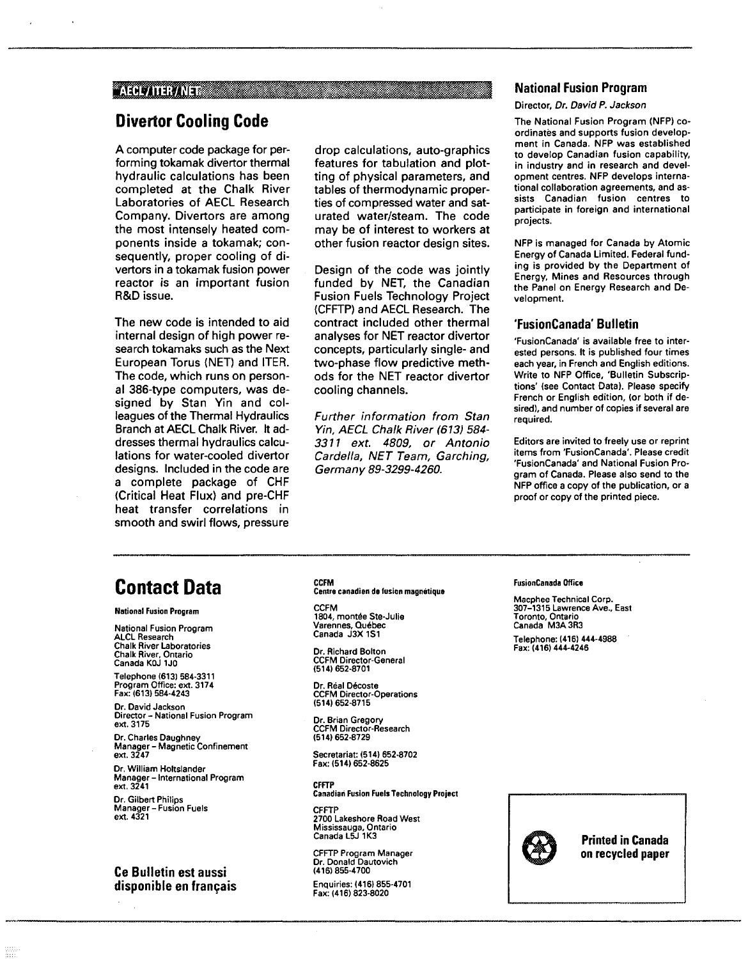#### AECLATER/ALET AND ACCOUNTS A REGISTER OF A STRONG CONTROL CONTROL CONTROL CONTROL CONTROL CONTROL CONTROL CONTROL CONTROL CONTROL CONTROL CONTROL CONTROL CONTROL CONTROL CONTROL CONTROL CONTROL CONTROL CONTROL CONTROL CONT

## **Divertor Cooling Code**

A computer code package for performing tokamak divertor thermal hydraulic calculations has been completed at the Chalk River Laboratories of AECL Research Company. Divertors are among the most intensely heated components inside a tokamak; consequently, proper cooling of divertors in a tokamak fusion power reactor is an important fusion R&D issue.

The new code is intended to aid internal design of high power research tokamaks such as the Next European Torus (NET) and ITER. The code, which runs on personal 386-type computers, was designed by Stan Yin and colleagues of the Thermal Hydraulics Branch at AECL Chalk River. It addresses thermal hydraulics calculations for water-cooled divertor designs. Included in the code are a complete package of CHF (Critical Heat Flux) and pre-CHF heat transfer correlations in smooth and swirl flows, pressure

drop calculations, auto-graphics features for tabulation and plotting of physical parameters, and tables of thermodynamic properties of compressed water and saturated water/steam. The code may be of interest to workers at other fusion reactor design sites.

Design of the code was jointly funded by NET, the Canadian Fusion Fuels Technology Project (CFFTP) and AECL Research. The contract included other thermal analyses for NET reactor divertor concepts, particularly single- and two-phase flow predictive methods for the NET reactor divertor cooling channels.

Further information from Stan Yin, AECL Chalk River (613) 584- 3311 ext. 4809, or Antonio Cardella, NET Team, Garching, Germany 89-3299-4260.

#### **National Fusion Program**

#### Director, Dr. David P. Jackson

The National Fusion Program (NFP) coordinates and supports fusion development in Canada. NFP was established to develop Canadian fusion capability, in industry and in research and development centres. NFP develops international collaboration agreements, and assists Canadian fusion centres to participate in foreign and international projects.

NFP is managed for Canada by Atomic Energy of Canada Limited. Federal funding is provided by the Department of Energy, Mines and Resources through the Panel on Energy Research and Development.

#### **'FusionCanada' Bulletin**

'FusionCanada' is available free to interested persons. It is published four times each year, in French and English editions. Write to NFP Office, 'Bulletin Subscriptions' (see Contact Data). Please specify French or English edition, (or both if desired), and number of copies if several are required.

Editors are invited to freely use or reprint items from 'FusionCanada'. Please credit 'FusionCanada' and National Fusion Program of Canada. Please also send to the NFP office a copy of the publication, or a proof or copy of the printed piece.

# **Contact Data**

#### **National Fusion Program**

**National Fusion Program ALCL Research Chalk River Laboratories Chalk River, Ontario Canada KOJ 1J0**

**Telephone (613) 584-3311 Program Office: ext. 3174 Fax:(613)584-4243**

**Dr. David Jackson Director- National Fusion Program ext. 3175**

**Dr. Charles Daughney Manager - Magnetic Confinement ext. 3247**

Dr. William Holtslander **Manager - International Program ext. 3241**

**Dr. Gilbert Philips Manager - Fusion Fuels ext. 4321**

#### **Ce Bulletin est aussi disponible en français**

**CCFM Centre canadien de fusion magnétique**

**CCFM 1804, montée Ste-Julie Varennes, Québec Canada J3X1S1**

**Dr. Richard Bolton CCFM Director-General (514) 652-8701**

**Dr. Real Décoste CCFM Director-Operations (514) 652-8715**

**Dr. Brian Gregory CCFM Director-Research (514)652-8729**

**Secretariat: (514) 652-8702 Fax:(514)652-8625**

**CFFTP Canadian Fusion Fuels Technology Project**

**CFFTP 2700 Lakeshore Road West Mississauga, Ontario Canada L5J 1K3**

**CFFTP Program Manager Dr. Donald Dautovich (416) 855-4700**

**Enquiries: (416) 855-4701 Fax: (416) 823-8020**

#### **FusionCanada Office**

**Macphee Technical Corp. 307-1315 Lawrence Ave., East Toronto, Ontario Canada M3A3R3**

**Telephone: (416) 444-4988 Fax: (416) 444-4246**



**Printed in Canada on recycled paper**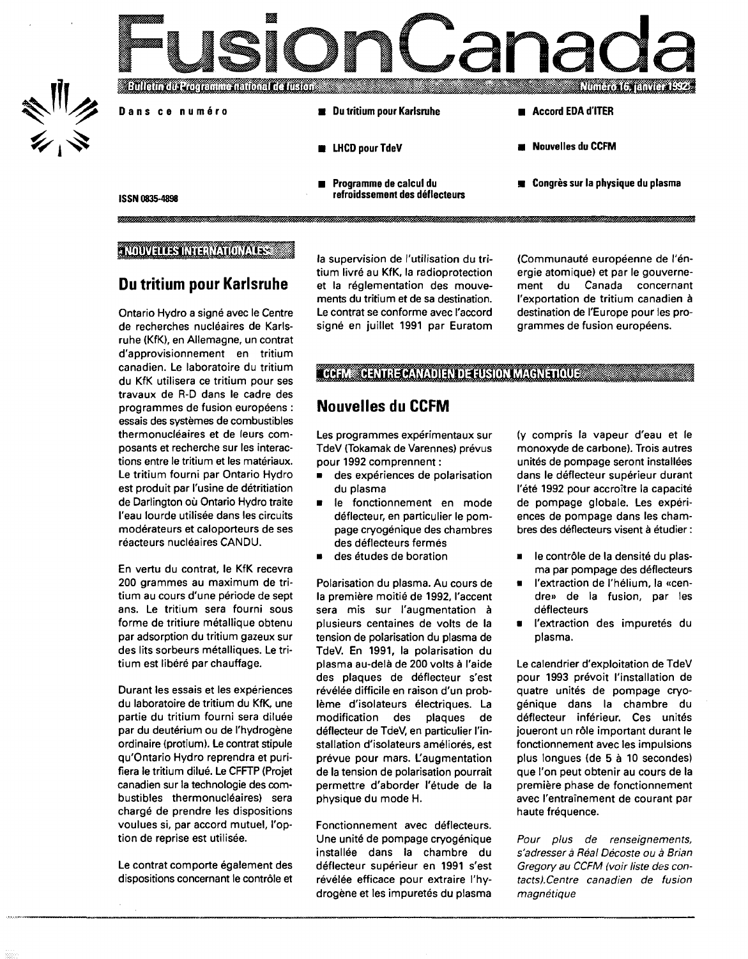

### **NOUVELLES INTERNATIONALES**

mmmm

### **Du tritium pour Karlsruhe**

Ontario Hydro a signé avec le Centre de recherches nucléaires de Karlsruhe (KfK), en Allemagne, un contrat d'approvisionnement en tritium canadien. Le laboratoire du tritium du KfK utilisera ce tritium pour ses travaux de R-D dans le cadre des programmes de fusion européens : essais des systèmes de combustibles thermonucléaires et de leurs composants et recherche sur les interactions entre le tritium et les matériaux. Le tritium fourni par Ontario Hydro est produit par l'usine de détritiation de Darlington où Ontario Hydro traite l'eau lourde utilisée dans les circuits modérateurs et caloporteurs de ses réacteurs nucléaires CANDU.

En vertu du contrat, le KfK recevra 200 grammes au maximum de tritium au cours d'une période de sept ans. Le tritium sera fourni sous forme de tritiure métallique obtenu par adsorption du tritium gazeux sur des lits sorbeurs métalliques. Le tritium est libéré par chauffage.

Durant les essais et les expériences du laboratoire de tritium du KfK, une partie du tritium fourni sera diluée par du deutérium ou de l'hydrogène ordinaire (protium). Le contrat stipule qu'Ontario Hydro reprendra et purifiera le tritium dilué. Le CFFTP (Projet canadien sur la technologie des combustibles thermonucléaires) sera chargé de prendre les dispositions voulues si, par accord mutuel, l'option de reprise est utilisée.

Le contrat comporte également des dispositions concernant le contrôle et la supervision de l'utilisation du tritium livré au KfK, la radioprotection et la réglementation des mouvements du tritium et de sa destination. Le contrat se conforme avec l'accord signé en juillet 1991 par Euratom (Communauté européenne de l'énergie atomique) et par le gouvernement du Canada concernant l'exportation de tritium canadien à destination de l'Europe pour les programmes de fusion européens.

### **CCFM CENTRE CANADIEN DE FUSION MAGNETIQUE**

### **Nouvelles du CCFM**

Les programmes expérimentaux sur TdeV (Tokamak de Varennes) prévus pour 1992 comprennent :

- **e** des expériences de polarisation du plasma
- le fonctionnement en mode déflecteur, en particulier le pompage cryogénique des chambres des déflecteurs fermés
- des études de boration

Polarisation du plasma. Au cours de la première moitié de 1992, l'accent sera mis sur l'augmentation à plusieurs centaines de volts de la tension de polarisation du plasma de TdeV. En 1991, la polarisation du plasma au-delà de 200 volts à l'aide des plaques de déflecteur s'est révélée difficile en raison d'un problème d'isolateurs électriques. La modification des plaques de déflecteur de TdeV, en particulier l'installation d'isolateurs améliorés, est prévue pour mars. L'augmentation de la tension de polarisation pourrait permettre d'aborder l'étude de la physique du mode H.

Fonctionnement avec déflecteurs. Une unité de pompage cryogénique installée dans la chambre du déflecteur supérieur en 1991 s'est révélée efficace pour extraire l'hydrogène et les impuretés du plasma

(y compris la vapeur d'eau et le monoxyde de carbone). Trois autres unités de pompage seront installées dans le déflecteur supérieur durant l'été 1992 pour accroître la capacité de pompage globale. Les expériences de pompage dans les chambres des déflecteurs visent à étudier :

- le contrôle de la densité du plasma par pompage des déflecteurs
- l'extraction de l'hélium, la «cendre» de la fusion, par les déflecteurs
- l'extraction des impuretés du plasma.

Le calendrier d'exploitation de TdeV pour 1993 prévoit l'installation de quatre unités de pompage cryogénique dans la chambre du déflecteur inférieur. Ces unités joueront un rôle important durant le fonctionnement avec les impulsions plus longues (de 5 à 10 secondes) que l'on peut obtenir au cours de la première phase de fonctionnement avec l'entraînement de courant par haute fréquence.

Pour plus de renseignements, s'adresser à Real Décoste ou à Brian Gregory au CCFM (voir liste des contacts).Centre canadien de fusion magnétique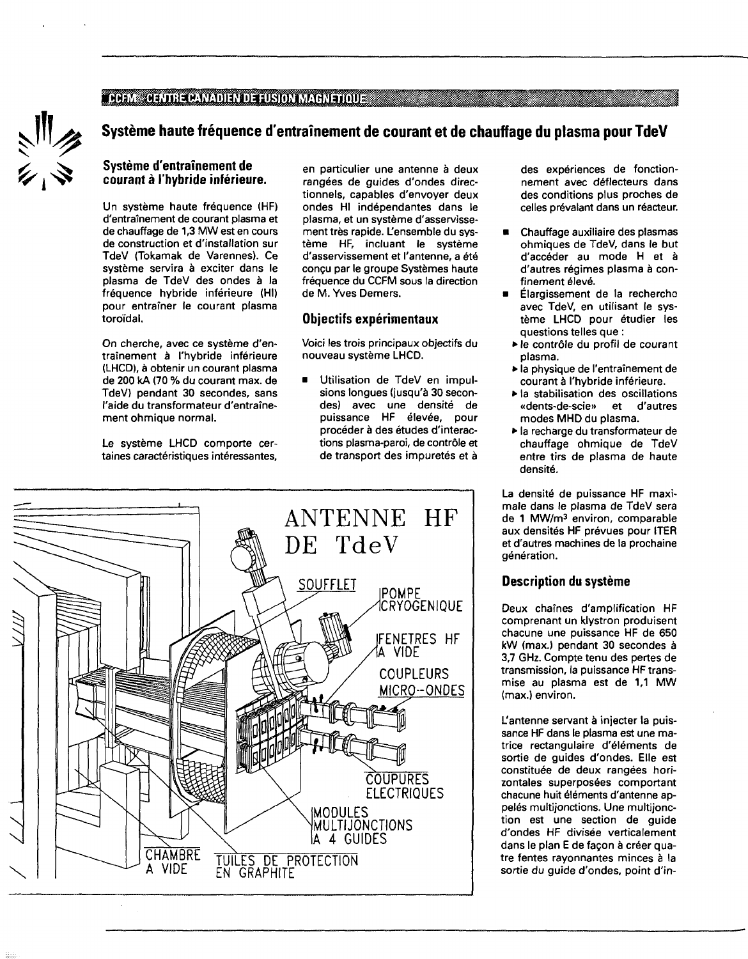### CCFM CENTRE CANADIEN DE FUSION MAGNETIQUE



### **Système haute fréquence d'entraînement de courant et de chauffage du plasma pour TdeV**

#### **Système d'entraînement de courant à l'hybride inférieure.**

Un système haute fréquence (HF) d'entraînement de courant plasma et de chauffage de 1,3 MW est en cours de construction et d'installation sur TdeV (Tokamak de Varennes). Ce système servira à exciter dans le plasma de TdeV des ondes à la fréquence hybride inférieure (HI) pour entraîner le courant plasma toroidal.

On cherche, avec ce système d'entraînement à l'hybride inférieure (LHCD), à obtenir un courant plasma de 200 kA (70 % du courant max. de TdeV) pendant 30 secondes, sans l'aide du transformateur d'entraînement ohmique normal.

Le système LHCD comporte certaines caractéristiques intéressantes, en particulier une antenne à deux rangées de guides d'ondes directionnels, capables d'envoyer deux ondes HI indépendantes dans le plasma, et un système d'asservissement très rapide. L'ensemble du système HF, incluant le système d'asservissement et l'antenne, a été conçu par le groupe Systèmes haute fréquence du CCFM sous la direction de M. Yves Demers.

#### **Objectifs expérimentaux**

Voici les trois principaux objectifs du nouveau système LHCD.

**Utilisation de TdeV en impul**sions longues (jusqu'à 30 secondes) avec une densité de puissance HF élevée, pour procéder à des études d'interactions plasma-paroi, de contrôle et de transport des impuretés et à



des expériences de fonctionnement avec déflecteurs dans des conditions plus proches de celles prévalant dans un réacteur.

- Chauffage auxiliaire des plasmas ohmiques de TdeV, dans le but d'accéder au mode H et à d'autres régimes plasma à confinement élevé.
- Élargissement de la recherche avec TdeV, en utilisant le système LHCD pour étudier les questions telles que :
- le contrôle du profil de courant plasma.
- la physique de l'entraînement de courant à l'hybride inférieure.
- la stabilisation des oscillations «dents-de-scie» et d'autres modes MHD du plasma.
- la recharge du transformateur de chauffage ohmique de TdeV entre tirs de plasma de haute densité.

La densité de puissance HF maximale dans le plasma de TdeV sera de 1 MW/m<sup>3</sup> environ, comparable aux densités HF prévues pour ITER et d'autres machines de la prochaine génération.

#### **Description du système**

Deux chaînes d'amplification HF comprenant un klystron produisent chacune une puissance HF de 650 kW (max.) pendant 30 secondes à 3,7 GHz. Compte tenu des pertes de transmission, la puissance HF transmise au plasma est de 1,1 MW (max.) environ.

L'antenne servant à injecter la puissance HF dans le plasma est une matrice rectangulaire d'éléments de sortie de guides d'ondes. Elle est constituée de deux rangées horizontales superposées comportant chacune huit éléments d'antenne appelés multijonctions. Une multijonction est une section de guide d'ondes HF divisée verticalement dans le plan E de façon à créer quatre fentes rayonnantes minces à la sortie du guide d'ondes, point d'in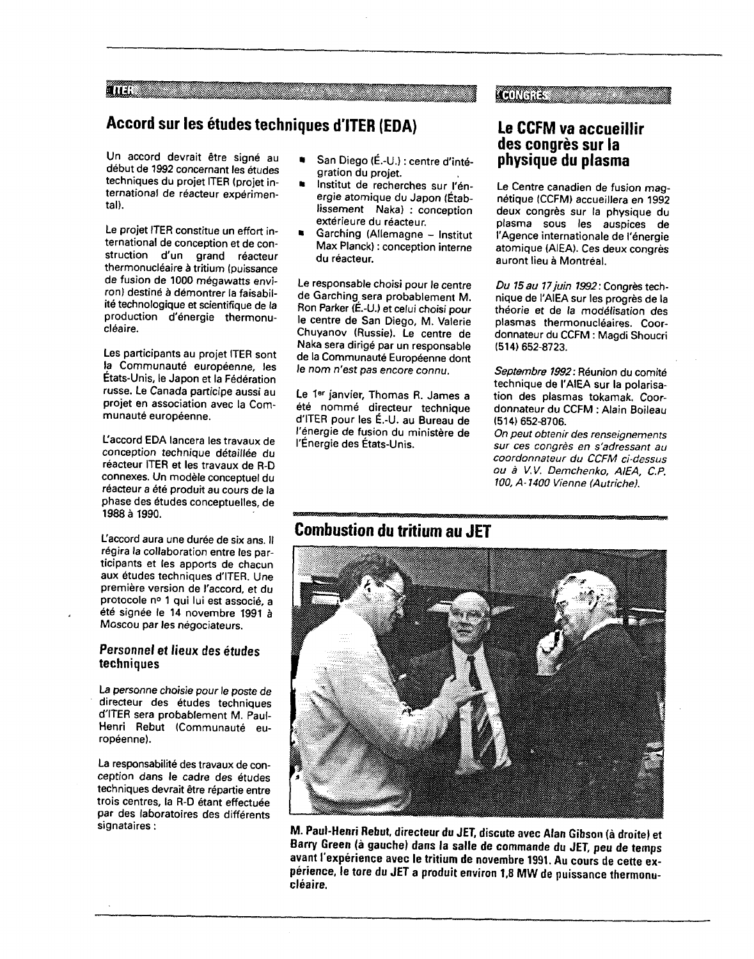ana wa

## **Accord sur les études techniques d'ITER (EDA)**

Un accord devrait être signé au début de 1992 concernant les études techniques du projet ITER (projet international de réacteur expérimental).

Le projet ITER constitue un effort international de conception et de construction d'un grand réacteur thermonucléaire à tritium (puissance de fusion de 1000 mégawatts environ) destiné à démontrer la faisabilité technologique et scientifique de la production d'énergie thermonucléaire.

Les participants au projet ITER sont la Communauté européenne, les États-Unis, le Japon et la Fédération russe. Le Canada participe aussi au projet en association avec la Communauté européenne.

L'accord EDA lancera les travaux de conception technique détaillée du réacteur ITER et les travaux de R-D connexes. Un modèle conceptuel du réacteur a été produit au cours de la phase des études conceptuelles, de 1988 à 1990.

L'accord aura une durée de six ans. Il régira la collaboration entre les participants et les apports de chacun aux études techniques d'ITER. Une première version de l'accord, et du protocole n° 1 qui lui est associé, a été signée le 14 novembre 1991 à Moscou par les négociateurs.

#### **Personnel et lieux des études techniques**

La personne choisie pour le poste de directeur des études techniques d'ITER sera probablement M. Paul-Henri Rebut (Communauté européenne).

La responsabilité des travaux de conception dans le cadre des études techniques devrait être répartie entre trois centres, la R-D étant effectuée par des laboratoires des différents signataires :

- San Diego (É.-U.) : centre d'intégration du projet.
- Institut de recherches sur l'énergie atomique du Japon (Établissement Naka) : conception extérieure du réacteur.
- Garching (Allemagne Institut Max Planck) : conception interne du réacteur.

Le responsable choisi pour le centre de Garching sera probablement M. Ron Parker (É.-U.) et celui choisi pour le centre de San Diego, M. Valerie Chuyanov (Russie). Le centre de Naka sera dirigé par un responsable de la Communauté Européenne dont le nom n'est pas encore connu.

Le 18r janvier, Thomas R. James a été nommé directeur technique d'ITER pour les É.-U. au Bureau de l'énergie de fusion du ministère de l'Énergie des États-Unis.

### **Le CCFM va accueillir des congrès sur la physique du plasma**

*if igonomes* 

Le Centre canadien de fusion magnétique (CCFM) accueillera en 1992 deux congrès sur la physique du plasma sous les auspices de l'Agence internationale de l'énergie atomique (AIEA). Ces deux congrès auront lieu à Montréal.

Du 15 au 17 juin 1992: Congrès technique de I'AIEA sur les progrès de la théorie et de la modélisation des plasmas thermonucléaires. Coordonnateur du CCFM : Magdi Shoucri (514)652-8723.

Septembre 1992: Réunion du comité technique de I'AIEA sur la polarisation des plasmas tokamak. Coordonnateur du CCFM : Alain Boileau (514)652-8706.

On peut obtenir des renseignements sur ces congrès en s'adressant au coordonnateur du CCFM ci-dessus ou à V.V. Demchenko, AIEA, C.P. 100, A-1400 Vienne (Autriche).

## **Combustion du tritium au JET**



**M. Paul-Henri Rebut, directeur du JET, discute avec Alan Gibson (à droite) et Barry Green (à gauche) dans la salle de commande du JET, peu de temps avant l'expérience avec le tritium de novembre 1991. Au cours de cette expérience, le tore du JET a produit environ 1,8 MW de puissance thermonucléaire.**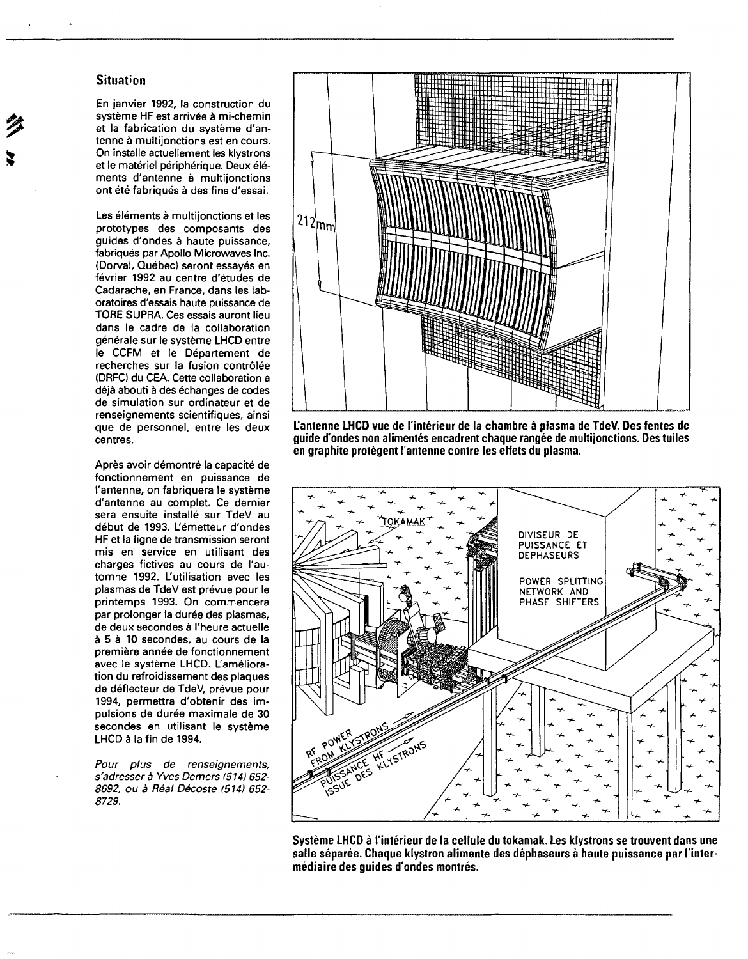#### **Situation**

En janvier 1992, la construction du système HF est arrivée à mi-chemin et la fabrication du système d'antenne à multijonctions est en cours. On installe actuellement les klystrons et le matériel périphérique. Deux éléments d'antenne à multijonctions ont été fabriqués à des fins d'essai.

Les éléments à multijonctions et les prototypes des composants des guides d'ondes à haute puissance, fabriqués par Apollo Microwaves Inc. (Dorval, Québec) seront essayés en février 1992 au centre d'études de Cadarache, en France, dans les laboratoires d'essais haute puissance de TORE SUPRA. Ces essais auront lieu dans le cadre de la collaboration générale sur le système LHCD entre le CCFM et le Département de recherches sur la fusion contrôlée (DRFC) du CEA. Cette collaboration a déjà abouti à des échanges de codes de simulation sur ordinateur et de renseignements scientifiques, ainsi que de personnel, entre les deux centres.

Après avoir démontré la capacité de fonctionnement en puissance de l'antenne, on fabriquera le système d'antenne au complet. Ce dernier sera ensuite installé sur TdeV au début de 1993. L'émetteur d'ondes HF et la ligne de transmission seront mis en service en utilisant des charges fictives au cours de l'automne 1992. L'utilisation avec les plasmas de TdeV est prévue pour le printemps 1993. On commencera par prolonger la durée des plasmas, de deux secondes à l'heure actuelle à 5 à 10 secondes, au cours de la première année de fonctionnement avec le système LHCD. L'amélioration du refroidissement des plaques de déflecteur de TdeV, prévue pour 1994, permettra d'obtenir des impulsions de durée maximale de 30 secondes en utilisant le système LHCD à la fin de 1994.

Pour plus de renseignements, s'adresser à Yves Demers (514) 652- 8692, ou à Réal Décoste (514) 652-8729.



**L'antenne LHCD vue de l'intérieur de la chambre à plasma de TdeV. Des fentes de guide d'ondes non alimentés encadrent chaque rangée de multijonctions. Des tuiles en graphite protègent l'antenne contre les effets du plasma.**



**Système LHCD à l'intérieur de la cellule du tokamak. Les klystrons se trouvent dans une salle séparée. Chaque klystron alimente des dephaseurs à haute puissance par l'intermédiaire des guides d'ondes montrés.**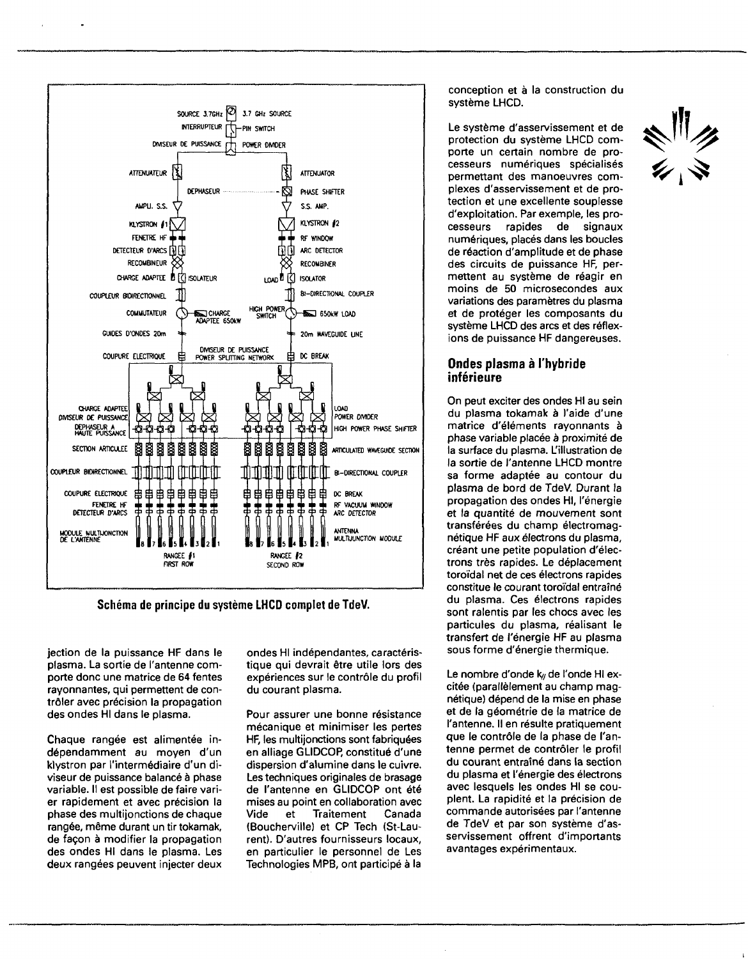

**Schéma de principe du système LHCD complet de TdeV.**

jection de la puissance HF dans le plasma. La sortie de l'antenne comporte donc une matrice de 64 fentes rayonnantes, qui permettent de contrôler avec précision la propagation des ondes HI dans le plasma.

Chaque rangée est alimentée indépendamment au moyen d'un klystron par l'intermédiaire d'un diviseur de puissance balancé à phase variable. Il est possible de faire varier rapidement et avec précision la phase des multijonctions de chaque rangée, même durant un tir tokamak, de façon à modifier la propagation des ondes HI dans le plasma. Les deux rangées peuvent injecter deux

ondes HI indépendantes, caractéristique qui devrait être utile lors des expériences sur le contrôle du profil du courant plasma.

Pour assurer une bonne résistance mécanique et minimiser les pertes HF, les multijonctions sont fabriquées en alliage GLIDCOP, constitué d'une dispersion d'alumine dans le cuivre. Les techniques originales de brasage de l'antenne en GLIDCOP ont été mises au point en collaboration avec Vide et Traitement Canada (Boucherville) et CP Tech (St-Laurent). D'autres fournisseurs locaux, en particulier le personnel de Les Technologies MPB, ont participé à la

conception et à la construction du système LHCD.

Le système d'asservissement et de protection du système LHCD comporte un certain nombre de processeurs numériques spécialisés permettant des manoeuvres complexes d'asservissement et de protection et une excellente souplesse d'exploitation. Par exemple, les processeurs rapides de signaux numériques, placés dans les boucles de réaction d'amplitude et de phase des circuits de puissance HF, permettent au système de réagir en moins de 50 microsecondes aux variations des paramètres du plasma et de protéger les composants du système LHCD des arcs et des réflexions de puissance HF dangereuses.

#### **Ondes plasma à l'hybride inférieure**

On peut exciter des ondes HI au sein du plasma tokamak à l'aide d'une matrice d'éléments rayonnants à phase variable placée à proximité de la surface du plasma. L'illustration de la sortie de l'antenne LHCD montre sa forme adaptée au contour du plasma de bord de TdeV. Durant la propagation des ondes HI, l'énergie et la quantité de mouvement sont transférées du champ électromagnétique HF aux électrons du plasma, créant une petite population d'électrons très rapides. Le déplacement toroïdal net de ces électrons rapides constitue le courant toroïdal entraîné du plasma. Ces électrons rapides sont ralentis par les chocs avec les particules du plasma, réalisant le transfert de l'énergie HF au plasma sous forme d'énergie thermique.

Le nombre d'onde k// de l'onde HI excitée (parallèlement au champ magnétique) dépend de la mise en phase et de la géométrie de la matrice de l'antenne. Il en résulte pratiquement que le contrôle de la phase de l'antenne permet de contrôler le profil du courant entraîné dans la section du plasma et l'énergie des électrons avec lesquels les ondes HI se couplent. La rapidité et la précision de commande autorisées par l'antenne de TdeV et par son système d'asservissement offrent d'importants avantages expérimentaux.

 $\frac{1}{2}$